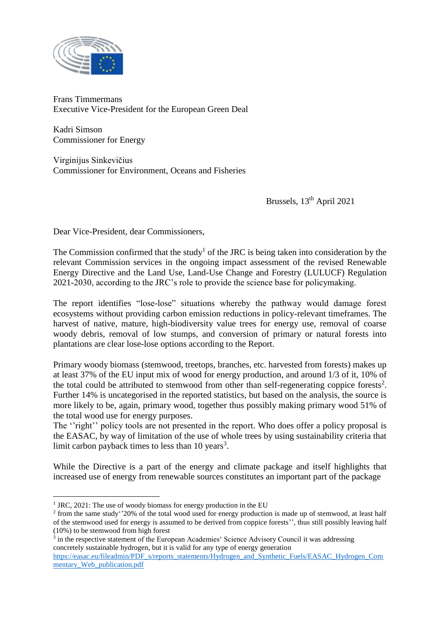

Frans Timmermans Executive Vice-President for the European Green Deal

Kadri Simson Commissioner for Energy

Virginijus Sinkevičius Commissioner for Environment, Oceans and Fisheries

Brussels, 13<sup>th</sup> April 2021

Dear Vice-President, dear Commissioners,

The Commission confirmed that the study<sup>1</sup> of the JRC is being taken into consideration by the relevant Commission services in the ongoing impact assessment of the revised Renewable Energy Directive and the Land Use, Land-Use Change and Forestry (LULUCF) Regulation 2021-2030, according to the JRC's role to provide the science base for policymaking.

The report identifies "lose-lose" situations whereby the pathway would damage forest ecosystems without providing carbon emission reductions in policy-relevant timeframes. The harvest of native, mature, high-biodiversity value trees for energy use, removal of coarse woody debris, removal of low stumps, and conversion of primary or natural forests into plantations are clear lose-lose options according to the Report.

Primary woody biomass (stemwood, treetops, branches, etc. harvested from forests) makes up at least 37% of the EU input mix of wood for energy production, and around 1/3 of it, 10% of the total could be attributed to stemwood from other than self-regenerating coppice forests<sup>2</sup>. Further 14% is uncategorised in the reported statistics, but based on the analysis, the source is more likely to be, again, primary wood, together thus possibly making primary wood 51% of the total wood use for energy purposes.

The "right" policy tools are not presented in the report. Who does offer a policy proposal is the EASAC, by way of limitation of the use of whole trees by using sustainability criteria that limit carbon payback times to less than  $10$  years<sup>3</sup>.

While the Directive is a part of the energy and climate package and itself highlights that increased use of energy from renewable sources constitutes an important part of the package

<u>.</u>

<sup>&</sup>lt;sup>1</sup> JRC, 2021: The use of woody biomass for energy production in the EU

<sup>&</sup>lt;sup>2</sup> from the same study''20% of the total wood used for energy production is made up of stemwood, at least half of the stemwood used for energy is assumed to be derived from coppice forests'', thus still possibly leaving half (10%) to be stemwood from high forest

<sup>&</sup>lt;sup>3</sup> in the respective statement of the European Academies' Science Advisory Council it was addressing concretely sustainable hydrogen, but it is valid for any type of energy generation

[https://easac.eu/fileadmin/PDF\\_s/reports\\_statements/Hydrogen\\_and\\_Synthetic\\_Fuels/EASAC\\_Hydrogen\\_Com](https://easac.eu/fileadmin/PDF_s/reports_statements/Hydrogen_and_Synthetic_Fuels/EASAC_Hydrogen_Commentary_Web_publication.pdf) [mentary\\_Web\\_publication.pdf](https://easac.eu/fileadmin/PDF_s/reports_statements/Hydrogen_and_Synthetic_Fuels/EASAC_Hydrogen_Commentary_Web_publication.pdf)